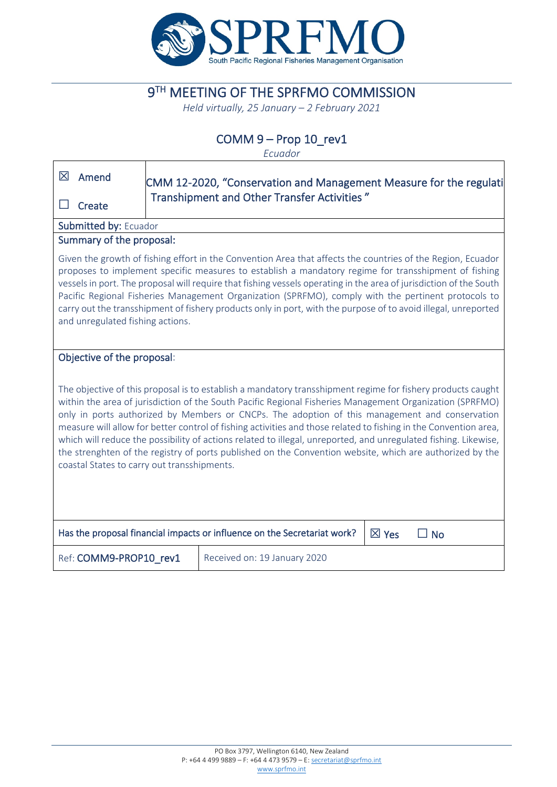

# **9TH MEETING OF THE SPRFMO COMMISSION**

*Held virtually, 25 January – 2 February 2021*

## COMM 9 – Prop 10\_rev1

*Ecuador*

| 区<br>Amend                                                                                                                                                                                                                                                                                                                                                                                                                                                                                                                                                                                                                                                                                                                  | CMM 12-2020, "Conservation and Management Measure for the regulati |                              |                 |           |  |  |
|-----------------------------------------------------------------------------------------------------------------------------------------------------------------------------------------------------------------------------------------------------------------------------------------------------------------------------------------------------------------------------------------------------------------------------------------------------------------------------------------------------------------------------------------------------------------------------------------------------------------------------------------------------------------------------------------------------------------------------|--------------------------------------------------------------------|------------------------------|-----------------|-----------|--|--|
| Create                                                                                                                                                                                                                                                                                                                                                                                                                                                                                                                                                                                                                                                                                                                      | Transhipment and Other Transfer Activities"                        |                              |                 |           |  |  |
| Submitted by: Ecuador                                                                                                                                                                                                                                                                                                                                                                                                                                                                                                                                                                                                                                                                                                       |                                                                    |                              |                 |           |  |  |
|                                                                                                                                                                                                                                                                                                                                                                                                                                                                                                                                                                                                                                                                                                                             | Summary of the proposal:                                           |                              |                 |           |  |  |
| Given the growth of fishing effort in the Convention Area that affects the countries of the Region, Ecuador<br>proposes to implement specific measures to establish a mandatory regime for transshipment of fishing<br>vessels in port. The proposal will require that fishing vessels operating in the area of jurisdiction of the South<br>Pacific Regional Fisheries Management Organization (SPRFMO), comply with the pertinent protocols to<br>carry out the transshipment of fishery products only in port, with the purpose of to avoid illegal, unreported<br>and unregulated fishing actions.                                                                                                                      |                                                                    |                              |                 |           |  |  |
| Objective of the proposal:                                                                                                                                                                                                                                                                                                                                                                                                                                                                                                                                                                                                                                                                                                  |                                                                    |                              |                 |           |  |  |
| The objective of this proposal is to establish a mandatory transshipment regime for fishery products caught<br>within the area of jurisdiction of the South Pacific Regional Fisheries Management Organization (SPRFMO)<br>only in ports authorized by Members or CNCPs. The adoption of this management and conservation<br>measure will allow for better control of fishing activities and those related to fishing in the Convention area,<br>which will reduce the possibility of actions related to illegal, unreported, and unregulated fishing. Likewise,<br>the strenghten of the registry of ports published on the Convention website, which are authorized by the<br>coastal States to carry out transshipments. |                                                                    |                              |                 |           |  |  |
| Has the proposal financial impacts or influence on the Secretariat work?                                                                                                                                                                                                                                                                                                                                                                                                                                                                                                                                                                                                                                                    |                                                                    |                              |                 |           |  |  |
|                                                                                                                                                                                                                                                                                                                                                                                                                                                                                                                                                                                                                                                                                                                             |                                                                    |                              | $\boxtimes$ Yes | $\Box$ No |  |  |
| Ref: COMM9-PROP10 rev1                                                                                                                                                                                                                                                                                                                                                                                                                                                                                                                                                                                                                                                                                                      |                                                                    | Received on: 19 January 2020 |                 |           |  |  |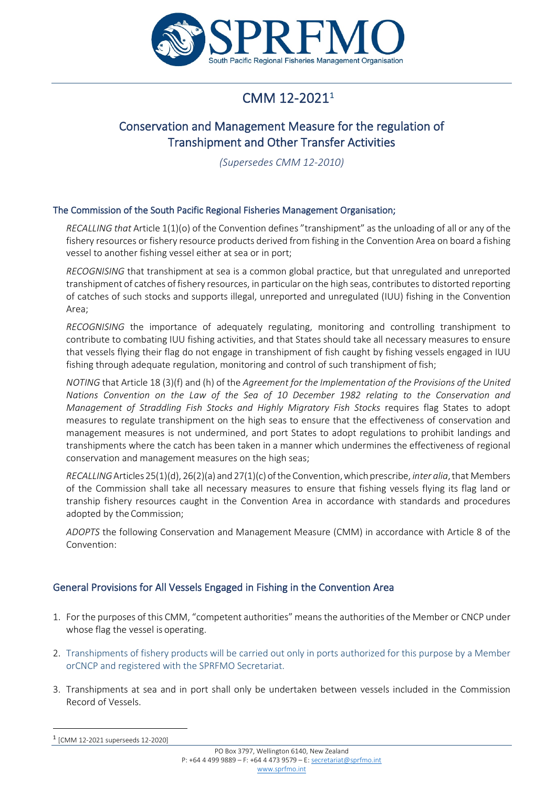

# CMM  $12-2021^1$  $12-2021^1$

## Conservation and Management Measure for the regulation of Transhipment and Other Transfer Activities

*(Supersedes CMM 12-2010)*

### The Commission of the South Pacific Regional Fisheries Management Organisation;

*RECALLING that* Article 1(1)(o) of the Convention defines "transhipment" as the unloading of all or any of the fishery resources or fishery resource products derived from fishing in the Convention Area on board a fishing vessel to another fishing vessel either at sea or in port;

*RECOGNISING* that transhipment at sea is a common global practice, but that unregulated and unreported transhipment of catches of fishery resources, in particular on the high seas, contributes to distorted reporting of catches of such stocks and supports illegal, unreported and unregulated (IUU) fishing in the Convention Area;

*RECOGNISING* the importance of adequately regulating, monitoring and controlling transhipment to contribute to combating IUU fishing activities, and that States should take all necessary measures to ensure that vessels flying their flag do not engage in transhipment of fish caught by fishing vessels engaged in IUU fishing through adequate regulation, monitoring and control of such transhipment of fish;

*NOTING* that Article 18 (3)(f) and (h) of the *Agreement for the Implementation of the Provisions of the United Nations Convention on the Law of the Sea of 10 December 1982 relating to the Conservation and Management of Straddling Fish Stocks and Highly Migratory Fish Stocks* requires flag States to adopt measures to regulate transhipment on the high seas to ensure that the effectiveness of conservation and management measures is not undermined, and port States to adopt regulations to prohibit landings and transhipments where the catch has been taken in a manner which undermines the effectiveness of regional conservation and management measures on the high seas;

*RECALLING*Articles25(1)(d), 26(2)(a) and 27(1)(c) ofthe Convention,which prescribe, *inter alia*,that Members of the Commission shall take all necessary measures to ensure that fishing vessels flying its flag land or tranship fishery resources caught in the Convention Area in accordance with standards and procedures adopted by the Commission;

*ADOPTS* the following Conservation and Management Measure (CMM) in accordance with Article 8 of the Convention:

### General Provisions for All Vessels Engaged in Fishing in the Convention Area

- 1. For the purposes of this CMM, "competent authorities" means the authorities of the Member or CNCP under whose flag the vessel is operating.
- 2. Transhipments of fishery products will be carried out only in ports authorized for this purpose by a Member orCNCP and registered with the SPRFMO Secretariat.
- 3. Transhipments at sea and in port shall only be undertaken between vessels included in the Commission Record of Vessels.

<span id="page-1-0"></span><sup>1</sup> [CMM 12-2021 superseeds 12-2020]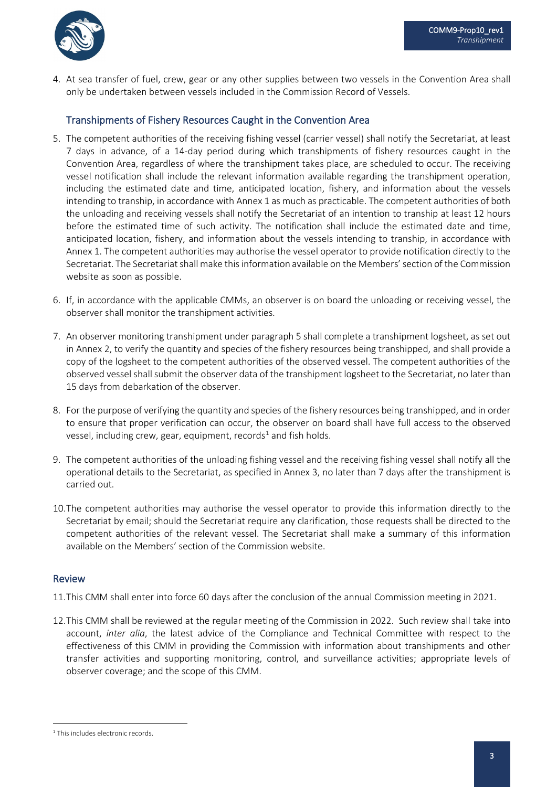

4. At sea transfer of fuel, crew, gear or any other supplies between two vessels in the Convention Area shall only be undertaken between vessels included in the Commission Record of Vessels.

### Transhipments of Fishery Resources Caught in the Convention Area

- 5. The competent authorities of the receiving fishing vessel (carrier vessel) shall notify the Secretariat, at least 7 days in advance, of a 14-day period during which transhipments of fishery resources caught in the Convention Area, regardless of where the transhipment takes place, are scheduled to occur. The receiving vessel notification shall include the relevant information available regarding the transhipment operation, including the estimated date and time, anticipated location, fishery, and information about the vessels intending to tranship, in accordance with Annex 1 as much as practicable. The competent authorities of both the unloading and receiving vessels shall notify the Secretariat of an intention to tranship at least 12 hours before the estimated time of such activity. The notification shall include the estimated date and time, anticipated location, fishery, and information about the vessels intending to tranship, in accordance with Annex 1. The competent authorities may authorise the vessel operator to provide notification directly to the Secretariat. The Secretariat shall make this information available on the Members' section of the Commission website as soon as possible.
- 6. If, in accordance with the applicable CMMs, an observer is on board the unloading or receiving vessel, the observer shall monitor the transhipment activities.
- 7. An observer monitoring transhipment under paragraph 5 shall complete a transhipment logsheet, as set out in Annex 2, to verify the quantity and species of the fishery resources being transhipped, and shall provide a copy of the logsheet to the competent authorities of the observed vessel. The competent authorities of the observed vessel shall submit the observer data of the transhipment logsheet to the Secretariat, no later than 15 days from debarkation of the observer.
- 8. For the purpose of verifying the quantity and species of the fishery resources being transhipped, and in order to ensure that proper verification can occur, the observer on board shall have full access to the observed vessel, including crew, gear, equipment, records<sup>[1](#page-2-0)</sup> and fish holds.
- 9. The competent authorities of the unloading fishing vessel and the receiving fishing vessel shall notify all the operational details to the Secretariat, as specified in Annex 3, no later than 7 days after the transhipment is carried out.
- 10.The competent authorities may authorise the vessel operator to provide this information directly to the Secretariat by email; should the Secretariat require any clarification, those requests shall be directed to the competent authorities of the relevant vessel. The Secretariat shall make a summary of this information available on the Members' section of the Commission website.

### Review

11.This CMM shall enter into force 60 days after the conclusion of the annual Commission meeting in 2021.

12.This CMM shall be reviewed at the regular meeting of the Commission in 2022. Such review shall take into account, *inter alia*, the latest advice of the Compliance and Technical Committee with respect to the effectiveness of this CMM in providing the Commission with information about transhipments and other transfer activities and supporting monitoring, control, and surveillance activities; appropriate levels of observer coverage; and the scope of this CMM.

<span id="page-2-0"></span><sup>1</sup> This includes electronic records.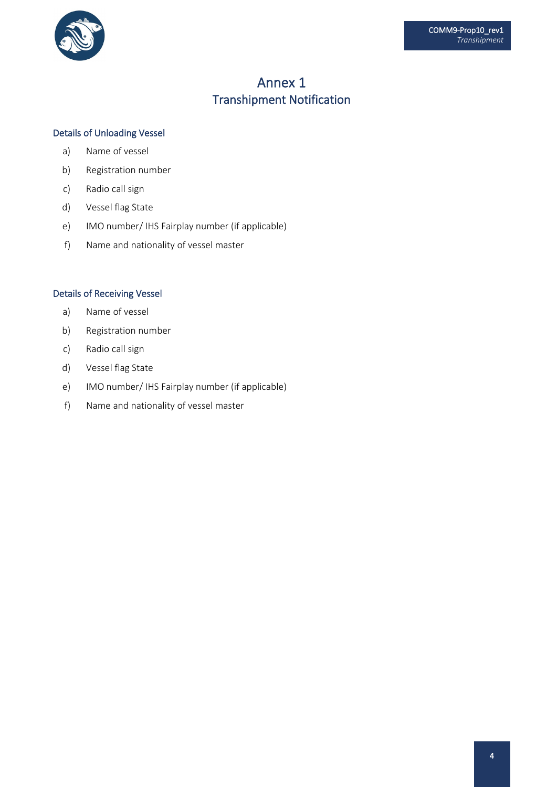

# Annex 1 Transhipment Notification

### Details of Unloading Vessel

- a) Name of vessel
- b) Registration number
- c) Radio call sign
- d) Vessel flag State
- e) IMO number/ IHS Fairplay number (if applicable)
- f) Name and nationality of vessel master

#### Details of Receiving Vessel

- a) Name of vessel
- b) Registration number
- c) Radio call sign
- d) Vessel flag State
- e) IMO number/ IHS Fairplay number (if applicable)
- f) Name and nationality of vessel master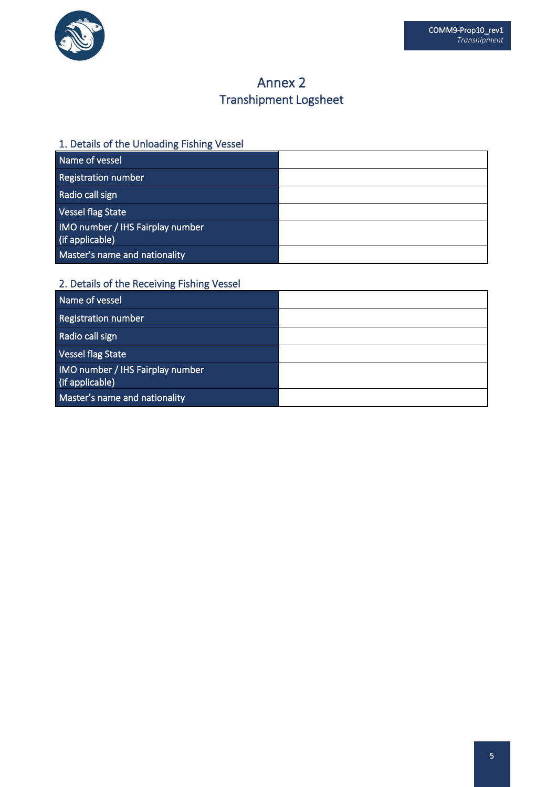

# Annex 2 Transhipment Logsheet

## 1. Details of the Unloading Fishing Vessel

| Name of vessel                                      |  |
|-----------------------------------------------------|--|
| Registration number                                 |  |
| Radio call sign                                     |  |
| Vessel flag State                                   |  |
| IMO number / IHS Fairplay number<br>(if applicable) |  |
| Master's name and nationality                       |  |

### 2. Details of the Receiving Fishing Vessel

| Name of vessel                                      |  |
|-----------------------------------------------------|--|
| <b>Registration number</b>                          |  |
| Radio call sign                                     |  |
| Vessel flag State                                   |  |
| IMO number / IHS Fairplay number<br>(if applicable) |  |
| Master's name and nationality                       |  |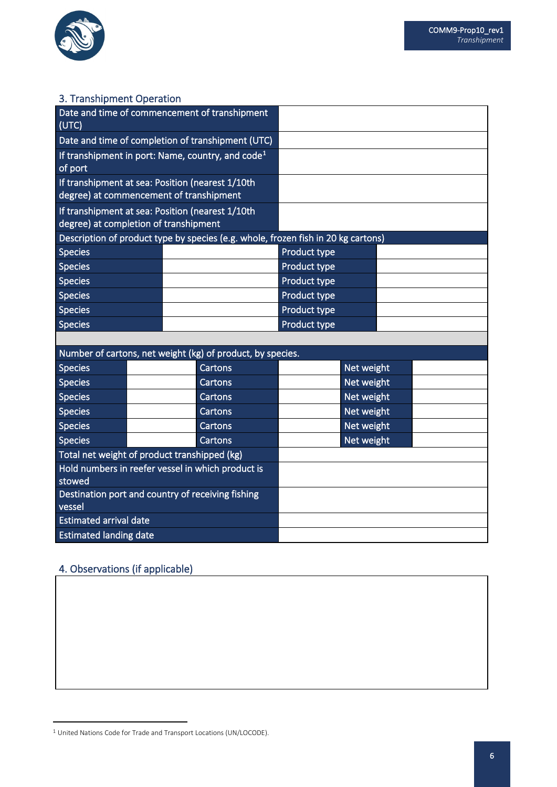

### 3. Transhipment Operation

| Date and time of commencement of transhipment<br>(UTC)                                       |  |  |                                                            |                     |            |  |
|----------------------------------------------------------------------------------------------|--|--|------------------------------------------------------------|---------------------|------------|--|
| Date and time of completion of transhipment (UTC)                                            |  |  |                                                            |                     |            |  |
| If transhipment in port: Name, country, and $code1$<br>of port                               |  |  |                                                            |                     |            |  |
| If transhipment at sea: Position (nearest 1/10th)<br>degree) at commencement of transhipment |  |  |                                                            |                     |            |  |
| If transhipment at sea: Position (nearest 1/10th<br>degree) at completion of transhipment    |  |  |                                                            |                     |            |  |
| Description of product type by species (e.g. whole, frozen fish in 20 kg cartons)            |  |  |                                                            |                     |            |  |
| <b>Species</b>                                                                               |  |  |                                                            | Product type        |            |  |
| <b>Species</b>                                                                               |  |  |                                                            | <b>Product type</b> |            |  |
| <b>Species</b>                                                                               |  |  |                                                            | <b>Product type</b> |            |  |
| <b>Species</b>                                                                               |  |  |                                                            | Product type        |            |  |
| <b>Species</b>                                                                               |  |  |                                                            | <b>Product type</b> |            |  |
| <b>Species</b>                                                                               |  |  |                                                            | Product type        |            |  |
|                                                                                              |  |  |                                                            |                     |            |  |
|                                                                                              |  |  | Number of cartons, net weight (kg) of product, by species. |                     |            |  |
| <b>Species</b>                                                                               |  |  | Cartons                                                    |                     | Net weight |  |
| Concinc                                                                                      |  |  | $C$ artanc                                                 |                     | Not woight |  |

| <b>ODECIES</b>                                              |  | <b>Calltoni</b> s | <b>IVEL WEIGHT</b> |  |
|-------------------------------------------------------------|--|-------------------|--------------------|--|
| <b>Species</b>                                              |  | Cartons           | Net weight         |  |
| <b>Species</b>                                              |  | Cartons           | Net weight         |  |
| <b>Species</b>                                              |  | Cartons           | Net weight         |  |
| <b>Species</b>                                              |  | Cartons           | Net weight         |  |
| <b>Species</b>                                              |  | Cartons           | Net weight         |  |
| Total net weight of product transhipped (kg)                |  |                   |                    |  |
| Hold numbers in reefer vessel in which product is<br>stowed |  |                   |                    |  |
| Destination port and country of receiving fishing<br>vessel |  |                   |                    |  |
| <b>Estimated arrival date</b>                               |  |                   |                    |  |
| <b>Estimated landing date</b>                               |  |                   |                    |  |

### 4. Observations (if applicable)

<span id="page-5-0"></span> $1$  United Nations Code for Trade and Transport Locations (UN/LOCODE).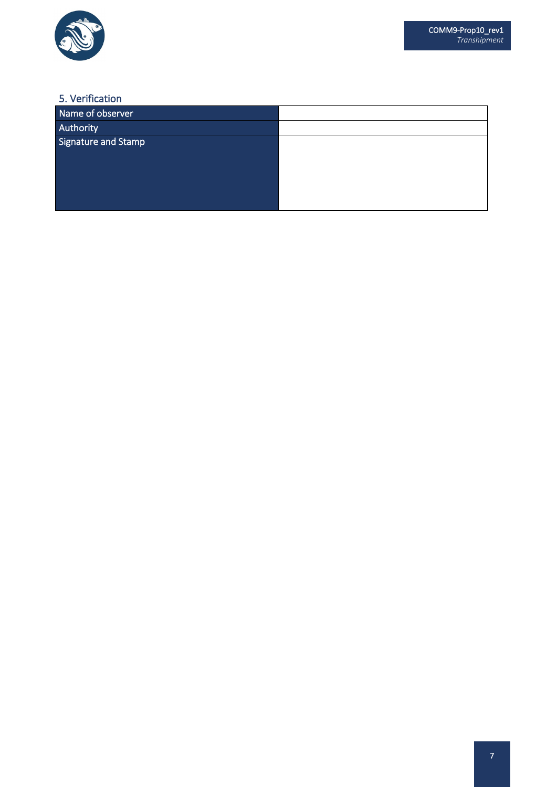

### 5. Verification

| Name of observer    |  |
|---------------------|--|
| Authority           |  |
| Signature and Stamp |  |
|                     |  |
|                     |  |
|                     |  |
|                     |  |